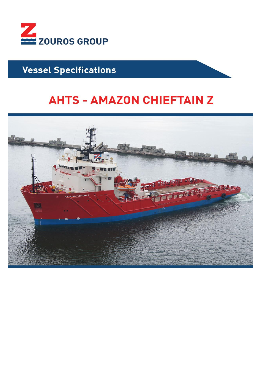

## **Vessel Specifications**

# **AHTS - AMAZON CHIEFTAIN Z**